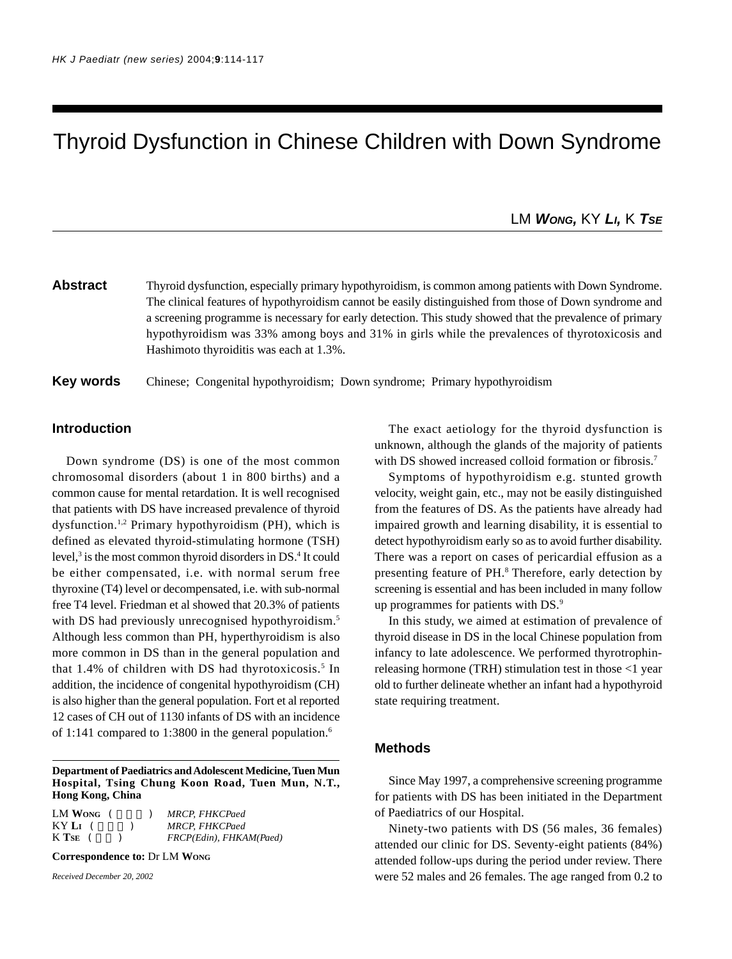# Thyroid Dysfunction in Chinese Children with Down Syndrome

LM *WONG,* KY *LI,* K *TSE*

**Abstract** Thyroid dysfunction, especially primary hypothyroidism, is common among patients with Down Syndrome. The clinical features of hypothyroidism cannot be easily distinguished from those of Down syndrome and a screening programme is necessary for early detection. This study showed that the prevalence of primary hypothyroidism was 33% among boys and 31% in girls while the prevalences of thyrotoxicosis and Hashimoto thyroiditis was each at 1.3%.

**Key words** Chinese; Congenital hypothyroidism; Down syndrome; Primary hypothyroidism

# **Introduction**

Down syndrome (DS) is one of the most common chromosomal disorders (about 1 in 800 births) and a common cause for mental retardation. It is well recognised that patients with DS have increased prevalence of thyroid dysfunction.1,2 Primary hypothyroidism (PH), which is defined as elevated thyroid-stimulating hormone (TSH) level,<sup>3</sup> is the most common thyroid disorders in DS.<sup>4</sup> It could be either compensated, i.e. with normal serum free thyroxine (T4) level or decompensated, i.e. with sub-normal free T4 level. Friedman et al showed that 20.3% of patients with DS had previously unrecognised hypothyroidism.<sup>5</sup> Although less common than PH, hyperthyroidism is also more common in DS than in the general population and that 1.4% of children with DS had thyrotoxicosis.<sup>5</sup> In addition, the incidence of congenital hypothyroidism (CH) is also higher than the general population. Fort et al reported 12 cases of CH out of 1130 infants of DS with an incidence of 1:141 compared to 1:3800 in the general population.<sup>6</sup>

**Department of Paediatrics and Adolescent Medicine, Tuen Mun Hospital, Tsing Chung Koon Road, Tuen Mun, N.T., Hong Kong, China**

| LM Wong   |  | <b>MRCP. FHKCPaed</b>   |
|-----------|--|-------------------------|
| KY LI (   |  | <b>MRCP, FHKCPaed</b>   |
| $K$ Tse ( |  | FRCP(Edin), FHKAM(Paed) |

**Correspondence to:** Dr LM **WONG**

*Received December 20, 2002*

The exact aetiology for the thyroid dysfunction is unknown, although the glands of the majority of patients with DS showed increased colloid formation or fibrosis.<sup>7</sup>

Symptoms of hypothyroidism e.g. stunted growth velocity, weight gain, etc., may not be easily distinguished from the features of DS. As the patients have already had impaired growth and learning disability, it is essential to detect hypothyroidism early so as to avoid further disability. There was a report on cases of pericardial effusion as a presenting feature of PH.<sup>8</sup> Therefore, early detection by screening is essential and has been included in many follow up programmes for patients with DS.<sup>9</sup>

In this study, we aimed at estimation of prevalence of thyroid disease in DS in the local Chinese population from infancy to late adolescence. We performed thyrotrophinreleasing hormone (TRH) stimulation test in those <1 year old to further delineate whether an infant had a hypothyroid state requiring treatment.

## **Methods**

Since May 1997, a comprehensive screening programme for patients with DS has been initiated in the Department of Paediatrics of our Hospital.

Ninety-two patients with DS (56 males, 36 females) attended our clinic for DS. Seventy-eight patients (84%) attended follow-ups during the period under review. There were 52 males and 26 females. The age ranged from 0.2 to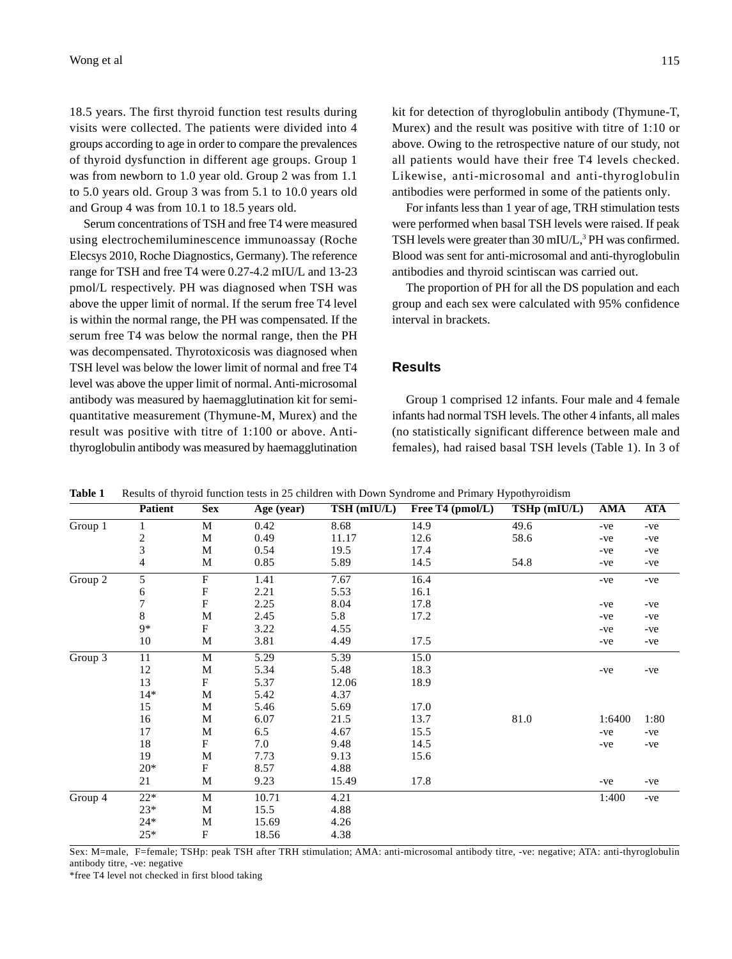18.5 years. The first thyroid function test results during visits were collected. The patients were divided into 4 groups according to age in order to compare the prevalences of thyroid dysfunction in different age groups. Group 1 was from newborn to 1.0 year old. Group 2 was from 1.1 to 5.0 years old. Group 3 was from 5.1 to 10.0 years old and Group 4 was from 10.1 to 18.5 years old.

Serum concentrations of TSH and free T4 were measured using electrochemiluminescence immunoassay (Roche Elecsys 2010, Roche Diagnostics, Germany). The reference range for TSH and free T4 were 0.27-4.2 mIU/L and 13-23 pmol/L respectively. PH was diagnosed when TSH was above the upper limit of normal. If the serum free T4 level is within the normal range, the PH was compensated. If the serum free T4 was below the normal range, then the PH was decompensated. Thyrotoxicosis was diagnosed when TSH level was below the lower limit of normal and free T4 level was above the upper limit of normal. Anti-microsomal antibody was measured by haemagglutination kit for semiquantitative measurement (Thymune-M, Murex) and the result was positive with titre of 1:100 or above. Antithyroglobulin antibody was measured by haemagglutination

kit for detection of thyroglobulin antibody (Thymune-T, Murex) and the result was positive with titre of 1:10 or above. Owing to the retrospective nature of our study, not all patients would have their free T4 levels checked. Likewise, anti-microsomal and anti-thyroglobulin antibodies were performed in some of the patients only.

For infants less than 1 year of age, TRH stimulation tests were performed when basal TSH levels were raised. If peak TSH levels were greater than 30 mIU/L,<sup>3</sup> PH was confirmed. Blood was sent for anti-microsomal and anti-thyroglobulin antibodies and thyroid scintiscan was carried out.

The proportion of PH for all the DS population and each group and each sex were calculated with 95% confidence interval in brackets.

## **Results**

Group 1 comprised 12 infants. Four male and 4 female infants had normal TSH levels. The other 4 infants, all males (no statistically significant difference between male and females), had raised basal TSH levels (Table 1). In 3 of

**Table 1** Results of thyroid function tests in 25 children with Down Syndrome and Primary Hypothyroidism

| radie 1<br>Results of thyroid function tests in $25$ chridlen with Down Syndrome and Finnary Hypothyroidism |                                                           |                                           |            |      |                                   |              |            |  |  |
|-------------------------------------------------------------------------------------------------------------|-----------------------------------------------------------|-------------------------------------------|------------|------|-----------------------------------|--------------|------------|--|--|
|                                                                                                             |                                                           |                                           |            |      |                                   |              | <b>ATA</b> |  |  |
| $\mathbf{1}$                                                                                                | M                                                         | 0.42                                      | 8.68       | 14.9 | 49.6                              | -ve          | $-ve$      |  |  |
|                                                                                                             | M                                                         | 0.49                                      | 11.17      | 12.6 | 58.6                              | -ve          | -ve        |  |  |
|                                                                                                             | M                                                         | 0.54                                      | 19.5       | 17.4 |                                   | -ve          | -ve        |  |  |
| 4                                                                                                           | M                                                         | 0.85                                      | 5.89       | 14.5 | 54.8                              | -ve          | $-ve$      |  |  |
| 5                                                                                                           | $\boldsymbol{\mathrm{F}}$                                 | 1.41                                      | 7.67       | 16.4 |                                   | -ve          | $-ve$      |  |  |
| 6                                                                                                           |                                                           | 2.21                                      | 5.53       | 16.1 |                                   |              |            |  |  |
|                                                                                                             |                                                           | 2.25                                      | 8.04       | 17.8 |                                   | -ve          | $-ve$      |  |  |
| 8                                                                                                           | M                                                         | 2.45                                      | 5.8        | 17.2 |                                   | -ve          | $-ve$      |  |  |
| $9*$                                                                                                        | F                                                         | 3.22                                      | 4.55       |      |                                   | -ve          | $-ve$      |  |  |
| 10                                                                                                          | M                                                         | 3.81                                      | 4.49       | 17.5 |                                   | -ve          | $-ve$      |  |  |
| 11                                                                                                          | M                                                         | 5.29                                      | 5.39       | 15.0 |                                   |              |            |  |  |
| 12                                                                                                          | M                                                         | 5.34                                      | 5.48       | 18.3 |                                   | -ve          | $-ve$      |  |  |
|                                                                                                             |                                                           | 5.37                                      | 12.06      | 18.9 |                                   |              |            |  |  |
| $14*$                                                                                                       | M                                                         | 5.42                                      | 4.37       |      |                                   |              |            |  |  |
| 15                                                                                                          | M                                                         | 5.46                                      | 5.69       | 17.0 |                                   |              |            |  |  |
| 16                                                                                                          | M                                                         | 6.07                                      | 21.5       | 13.7 | 81.0                              | 1:6400       | 1:80       |  |  |
| 17                                                                                                          | M                                                         | 6.5                                       | 4.67       | 15.5 |                                   | -ve          | $-ve$      |  |  |
| 18                                                                                                          | F                                                         | 7.0                                       | 9.48       | 14.5 |                                   | -ve          | $-ve$      |  |  |
| 19                                                                                                          | M                                                         | 7.73                                      | 9.13       | 15.6 |                                   |              |            |  |  |
| $20*$                                                                                                       | F                                                         | 8.57                                      | 4.88       |      |                                   |              |            |  |  |
| 21                                                                                                          | M                                                         | 9.23                                      | 15.49      | 17.8 |                                   | -ve          | $-ve$      |  |  |
| $22*$                                                                                                       | $\mathbf M$                                               | 10.71                                     | 4.21       |      |                                   | 1:400        | $-ve$      |  |  |
| $23*$                                                                                                       | M                                                         | 15.5                                      | 4.88       |      |                                   |              |            |  |  |
| $24*$                                                                                                       | M                                                         | 15.69                                     | 4.26       |      |                                   |              |            |  |  |
| $25*$                                                                                                       | $\rm F$                                                   | 18.56                                     | 4.38       |      |                                   |              |            |  |  |
|                                                                                                             | <b>Patient</b><br>$\overline{\mathbf{c}}$<br>3<br>7<br>13 | <b>Sex</b><br>${\bf F}$<br>${\bf F}$<br>F | Age (year) |      | TSH (mIU/L)<br>Free T4 $(pmol/L)$ | TSHp (mIU/L) | AMA        |  |  |

Sex: M=male, F=female; TSHp: peak TSH after TRH stimulation; AMA: anti-microsomal antibody titre, -ve: negative; ATA: anti-thyroglobulin antibody titre, -ve: negative

\*free T4 level not checked in first blood taking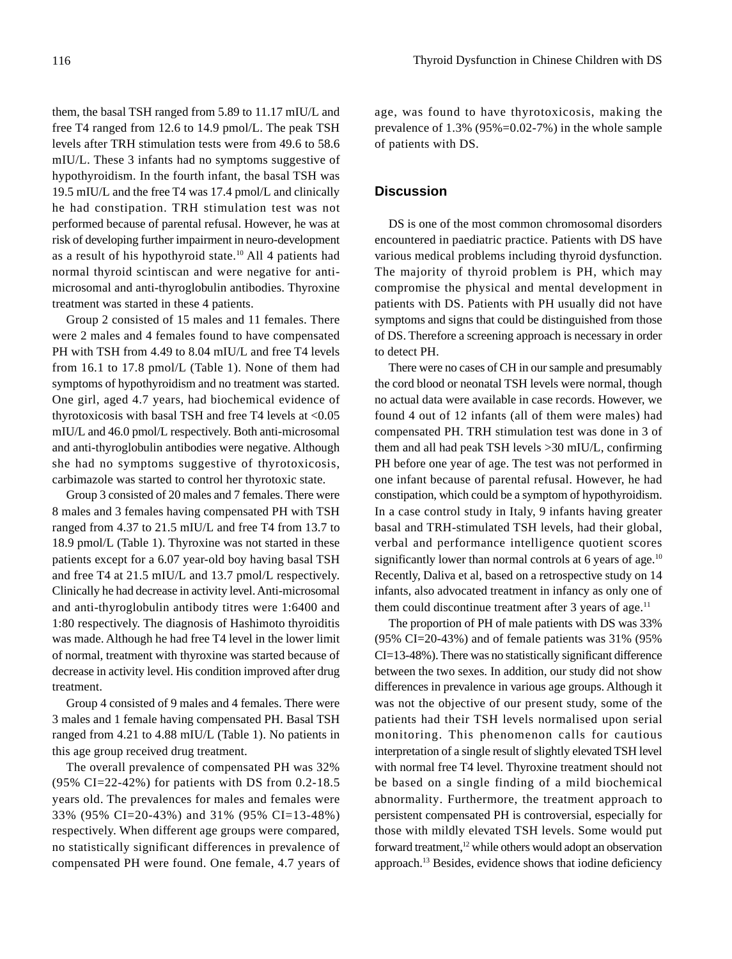them, the basal TSH ranged from 5.89 to 11.17 mIU/L and free T4 ranged from 12.6 to 14.9 pmol/L. The peak TSH levels after TRH stimulation tests were from 49.6 to 58.6 mIU/L. These 3 infants had no symptoms suggestive of hypothyroidism. In the fourth infant, the basal TSH was 19.5 mIU/L and the free T4 was 17.4 pmol/L and clinically he had constipation. TRH stimulation test was not performed because of parental refusal. However, he was at risk of developing further impairment in neuro-development as a result of his hypothyroid state.<sup>10</sup> All 4 patients had normal thyroid scintiscan and were negative for antimicrosomal and anti-thyroglobulin antibodies. Thyroxine treatment was started in these 4 patients.

Group 2 consisted of 15 males and 11 females. There were 2 males and 4 females found to have compensated PH with TSH from 4.49 to 8.04 mIU/L and free T4 levels from 16.1 to 17.8 pmol/L (Table 1). None of them had symptoms of hypothyroidism and no treatment was started. One girl, aged 4.7 years, had biochemical evidence of thyrotoxicosis with basal TSH and free T4 levels at  $< 0.05$ mIU/L and 46.0 pmol/L respectively. Both anti-microsomal and anti-thyroglobulin antibodies were negative. Although she had no symptoms suggestive of thyrotoxicosis, carbimazole was started to control her thyrotoxic state.

Group 3 consisted of 20 males and 7 females. There were 8 males and 3 females having compensated PH with TSH ranged from 4.37 to 21.5 mIU/L and free T4 from 13.7 to 18.9 pmol/L (Table 1). Thyroxine was not started in these patients except for a 6.07 year-old boy having basal TSH and free T4 at 21.5 mIU/L and 13.7 pmol/L respectively. Clinically he had decrease in activity level. Anti-microsomal and anti-thyroglobulin antibody titres were 1:6400 and 1:80 respectively. The diagnosis of Hashimoto thyroiditis was made. Although he had free T4 level in the lower limit of normal, treatment with thyroxine was started because of decrease in activity level. His condition improved after drug treatment.

Group 4 consisted of 9 males and 4 females. There were 3 males and 1 female having compensated PH. Basal TSH ranged from 4.21 to 4.88 mIU/L (Table 1). No patients in this age group received drug treatment.

The overall prevalence of compensated PH was 32% (95% CI=22-42%) for patients with DS from 0.2-18.5 years old. The prevalences for males and females were 33% (95% CI=20-43%) and 31% (95% CI=13-48%) respectively. When different age groups were compared, no statistically significant differences in prevalence of compensated PH were found. One female, 4.7 years of age, was found to have thyrotoxicosis, making the prevalence of 1.3% (95%=0.02-7%) in the whole sample of patients with DS.

## **Discussion**

DS is one of the most common chromosomal disorders encountered in paediatric practice. Patients with DS have various medical problems including thyroid dysfunction. The majority of thyroid problem is PH, which may compromise the physical and mental development in patients with DS. Patients with PH usually did not have symptoms and signs that could be distinguished from those of DS. Therefore a screening approach is necessary in order to detect PH.

There were no cases of CH in our sample and presumably the cord blood or neonatal TSH levels were normal, though no actual data were available in case records. However, we found 4 out of 12 infants (all of them were males) had compensated PH. TRH stimulation test was done in 3 of them and all had peak TSH levels >30 mIU/L, confirming PH before one year of age. The test was not performed in one infant because of parental refusal. However, he had constipation, which could be a symptom of hypothyroidism. In a case control study in Italy, 9 infants having greater basal and TRH-stimulated TSH levels, had their global, verbal and performance intelligence quotient scores significantly lower than normal controls at 6 years of age. $10$ Recently, Daliva et al, based on a retrospective study on 14 infants, also advocated treatment in infancy as only one of them could discontinue treatment after  $3$  years of age.<sup>11</sup>

The proportion of PH of male patients with DS was 33% (95% CI=20-43%) and of female patients was 31% (95% CI=13-48%). There was no statistically significant difference between the two sexes. In addition, our study did not show differences in prevalence in various age groups. Although it was not the objective of our present study, some of the patients had their TSH levels normalised upon serial monitoring. This phenomenon calls for cautious interpretation of a single result of slightly elevated TSH level with normal free T4 level. Thyroxine treatment should not be based on a single finding of a mild biochemical abnormality. Furthermore, the treatment approach to persistent compensated PH is controversial, especially for those with mildly elevated TSH levels. Some would put forward treatment.<sup>12</sup> while others would adopt an observation approach.13 Besides, evidence shows that iodine deficiency